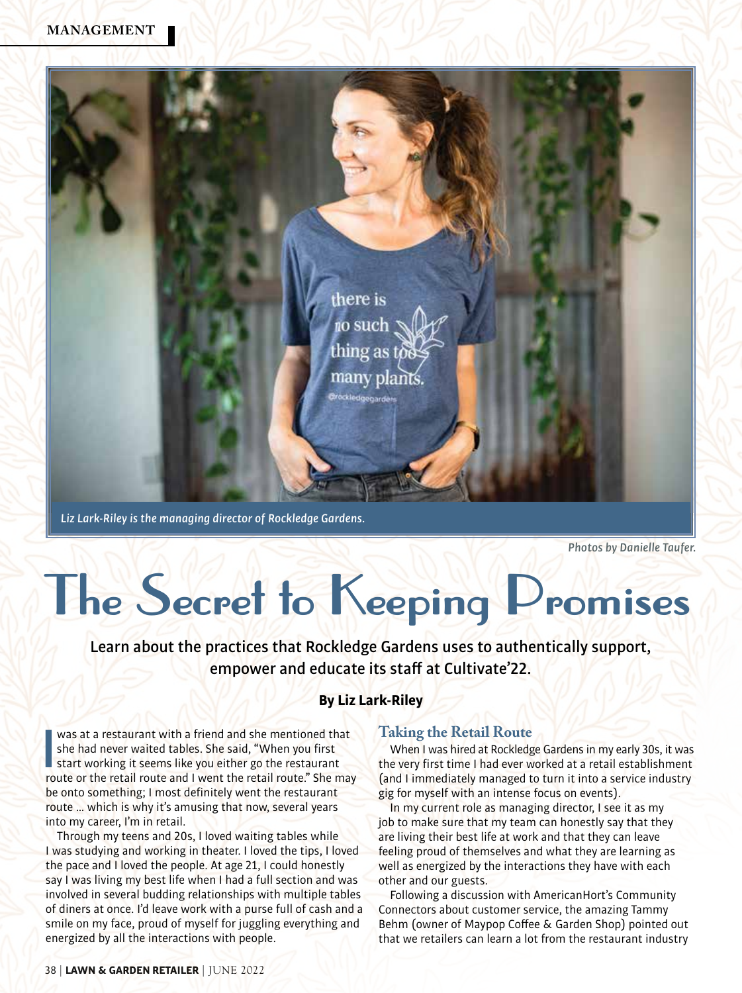### **MANAGEMENT**



*Liz Lark-Riley is the managing director of Rockledge Gardens.*

*Photos by Danielle Taufer.* 

# **The Secret to Keeping Promises**

Learn about the practices that Rockledge Gardens uses to authentically support, empower and educate its staff at Cultivate'22.

### **By Liz Lark-Riley**

was at a restaurant with a friend and she mentioned that<br>she had never waited tables. She said, "When you first<br>start working it seems like you either go the restaurant<br>route or the retail route and I went the retail route was at a restaurant with a friend and she mentioned that she had never waited tables. She said, "When you first start working it seems like you either go the restaurant be onto something; I most definitely went the restaurant route … which is why it's amusing that now, several years into my career, I'm in retail.

Through my teens and 20s, I loved waiting tables while I was studying and working in theater. I loved the tips, I loved the pace and I loved the people. At age 21, I could honestly say I was living my best life when I had a full section and was involved in several budding relationships with multiple tables of diners at once. I'd leave work with a purse full of cash and a smile on my face, proud of myself for juggling everything and energized by all the interactions with people.

### **Taking the Retail Route**

When I was hired at Rockledge Gardens in my early 30s, it was the very first time I had ever worked at a retail establishment (and I immediately managed to turn it into a service industry gig for myself with an intense focus on events).

In my current role as managing director, I see it as my job to make sure that my team can honestly say that they are living their best life at work and that they can leave feeling proud of themselves and what they are learning as well as energized by the interactions they have with each other and our guests.

Following a discussion with AmericanHort's Community Connectors about customer service, the amazing Tammy Behm (owner of Maypop Coffee & Garden Shop) pointed out that we retailers can learn a lot from the restaurant industry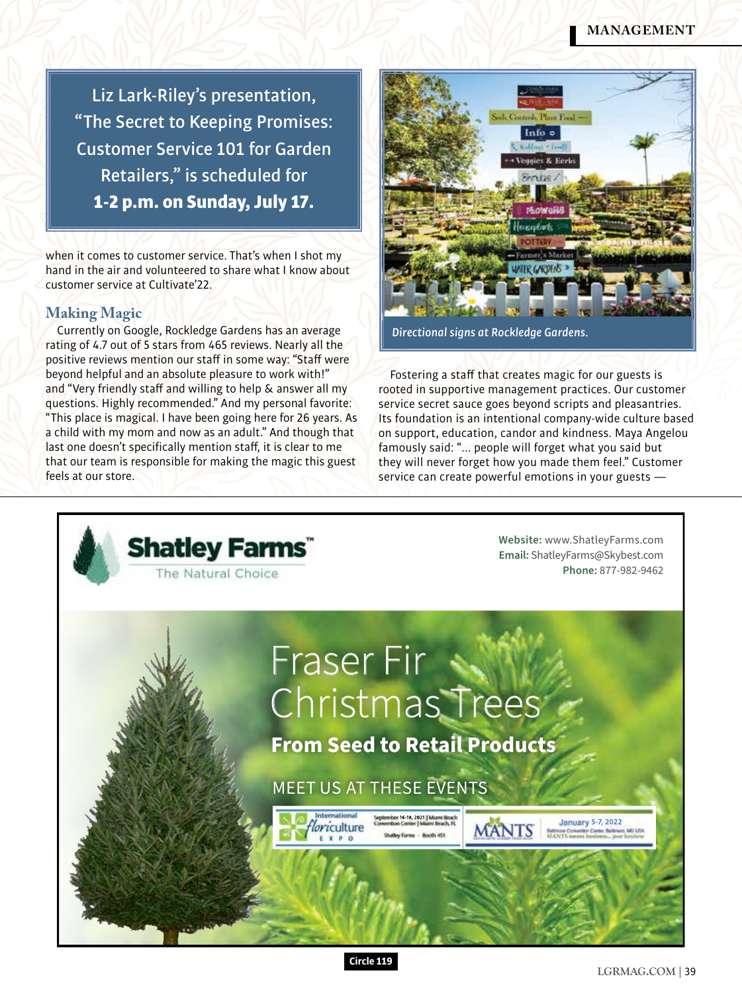### **MANAGEMENT**

Liz Lark-Riley's presentation, "The Secret to Keeping Promises: Customer Service 101 for Garden Retailers," is scheduled for 1-2 p.m. on Sunday, July 17.

when it comes to customer service. That's when I shot my hand in the air and volunteered to share what I know about customer service at Cultivate'22.

### **Making Magic**

Currently on Google, Rockledge Gardens has an average rating of 4.7 out of 5 stars from 465 reviews. Nearly all the positive reviews mention our staff in some way: "Staff were beyond helpful and an absolute pleasure to work with!" and "Very friendly staff and willing to help & answer all my questions. Highly recommended." And my personal favorite: "This place is magical. I have been going here for 26 years. As a child with my mom and now as an adult." And though that last one doesn't specifically mention staff, it is clear to me that our team is responsible for making the magic this guest feels at our store.



*Directional signs at Rockledge Gardens.*

Fostering a staff that creates magic for our guests is rooted in supportive management practices. Our customer service secret sauce goes beyond scripts and pleasantries. Its foundation is an intentional company-wide culture based on support, education, candor and kindness. Maya Angelou famously said: "... people will forget what you said but they will never forget how you made them feel." Customer service can create powerful emotions in your guests —